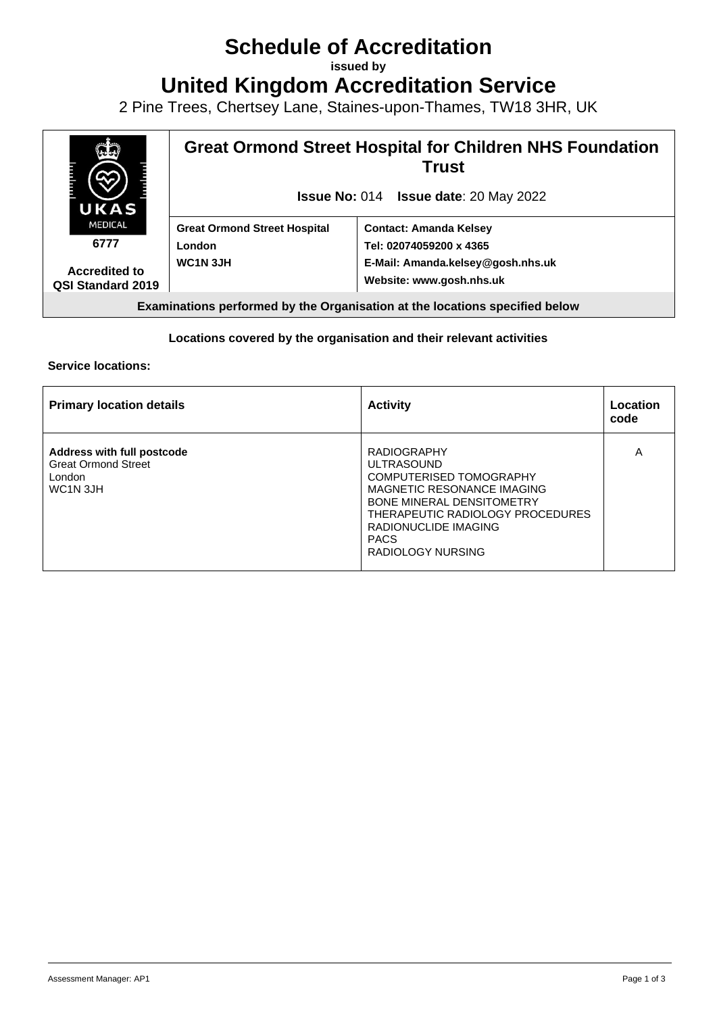# **Schedule of Accreditation**

**issued by**

**United Kingdom Accreditation Service**

2 Pine Trees, Chertsey Lane, Staines-upon-Thames, TW18 3HR, UK



### **Locations covered by the organisation and their relevant activities**

#### **Service locations:**

| <b>Primary location details</b>                                                                                | <b>Activity</b>                                                                                                                                                                                                                      | Location<br>code |
|----------------------------------------------------------------------------------------------------------------|--------------------------------------------------------------------------------------------------------------------------------------------------------------------------------------------------------------------------------------|------------------|
| <b>Address with full postcode</b><br><b>Great Ormond Street</b><br>London<br>WC <sub>1</sub> N <sub>3</sub> JH | <b>RADIOGRAPHY</b><br><b>ULTRASOUND</b><br>COMPUTERISED TOMOGRAPHY<br>MAGNETIC RESONANCE IMAGING<br><b>BONE MINERAL DENSITOMETRY</b><br>THERAPEUTIC RADIOLOGY PROCEDURES<br>RADIONUCLIDE IMAGING<br><b>PACS</b><br>RADIOLOGY NURSING | Α                |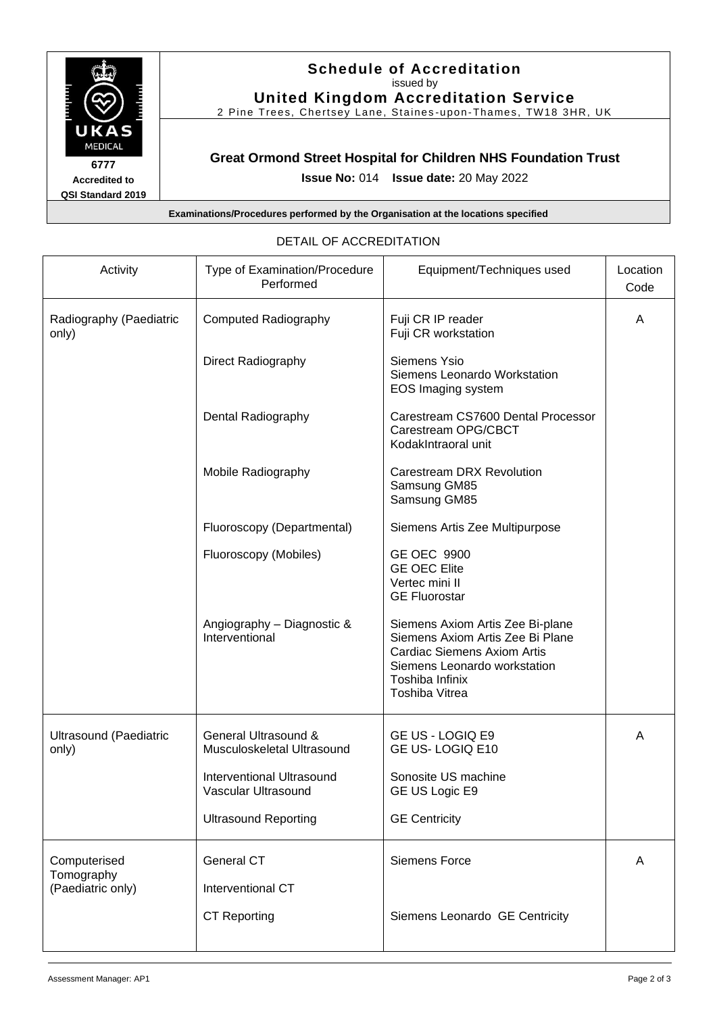

## **Schedule of Accreditation**  issued by

**United Kingdom Accreditation Service**

2 Pine Trees, Chertsey Lane, Staines -upon -Thames, TW18 3HR, UK

### **Great Ormond Street Hospital for Children NHS Foundation Trust**

**Issue No:** 014 **Issue date:** 20 May 2022

**Examinations/Procedures performed by the Organisation at the locations specified**

| Activity                                        | Type of Examination/Procedure<br>Performed         | Equipment/Techniques used                                                                                                                                                       | Location<br>Code |
|-------------------------------------------------|----------------------------------------------------|---------------------------------------------------------------------------------------------------------------------------------------------------------------------------------|------------------|
| Radiography (Paediatric<br>only)                | <b>Computed Radiography</b>                        | Fuji CR IP reader<br>Fuji CR workstation                                                                                                                                        | A                |
|                                                 | <b>Direct Radiography</b>                          | Siemens Ysio<br>Siemens Leonardo Workstation<br>EOS Imaging system                                                                                                              |                  |
|                                                 | Dental Radiography                                 | Carestream CS7600 Dental Processor<br>Carestream OPG/CBCT<br>KodakIntraoral unit                                                                                                |                  |
|                                                 | Mobile Radiography                                 | Carestream DRX Revolution<br>Samsung GM85<br>Samsung GM85                                                                                                                       |                  |
|                                                 | Fluoroscopy (Departmental)                         | Siemens Artis Zee Multipurpose                                                                                                                                                  |                  |
|                                                 | Fluoroscopy (Mobiles)                              | <b>GE OEC 9900</b><br><b>GE OEC Elite</b><br>Vertec mini II<br><b>GE Fluorostar</b>                                                                                             |                  |
|                                                 | Angiography - Diagnostic &<br>Interventional       | Siemens Axiom Artis Zee Bi-plane<br>Siemens Axiom Artis Zee Bi Plane<br><b>Cardiac Siemens Axiom Artis</b><br>Siemens Leonardo workstation<br>Toshiba Infinix<br>Toshiba Vitrea |                  |
| Ultrasound (Paediatric<br>only)                 | General Ultrasound &<br>Musculoskeletal Ultrasound | GE US - LOGIQ E9<br>GE US-LOGIQ E10                                                                                                                                             | A                |
|                                                 | Interventional Ultrasound<br>Vascular Ultrasound   | Sonosite US machine<br>GE US Logic E9                                                                                                                                           |                  |
|                                                 | <b>Ultrasound Reporting</b>                        | <b>GE Centricity</b>                                                                                                                                                            |                  |
| Computerised<br>Tomography<br>(Paediatric only) | <b>General CT</b><br>Interventional CT             | <b>Siemens Force</b>                                                                                                                                                            | A                |
|                                                 | <b>CT Reporting</b>                                | Siemens Leonardo GE Centricity                                                                                                                                                  |                  |

# DETAIL OF ACCREDITATION